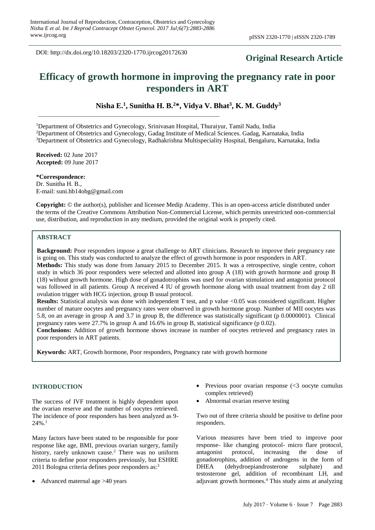DOI: http://dx.doi.org/10.18203/2320-1770.ijrcog20172630

# **Original Research Article**

# **Efficacy of growth hormone in improving the pregnancy rate in poor responders in ART**

**Nisha E.<sup>1</sup> , Sunitha H. B. <sup>2</sup>\*, Vidya V. Bhat<sup>3</sup> , K. M. Guddy<sup>3</sup>**

<sup>1</sup>Department of Obstetrics and Gynecology, Srinivasan Hospital, Thuraiyur, Tamil Nadu, India

<sup>2</sup>Department of Obstetrics and Gynecology, Gadag Institute of Medical Sciences. Gadag, Karnataka, India

<sup>3</sup>Department of Obstetrics and Gynecology, Radhakrishna Multispeciality Hospital, Bengaluru, Karnataka, India

**Received:** 02 June 2017 **Accepted:** 09 June 2017

**\*Correspondence:** Dr. Sunitha H. B., E-mail: suni.hb14obg@gmail.com

**Copyright:** © the author(s), publisher and licensee Medip Academy. This is an open-access article distributed under the terms of the Creative Commons Attribution Non-Commercial License, which permits unrestricted non-commercial use, distribution, and reproduction in any medium, provided the original work is properly cited.

## **ABSTRACT**

**Background:** Poor responders impose a great challenge to ART clinicians. Research to improve their pregnancy rate is going on. This study was conducted to analyze the effect of growth hormone in poor responders in ART.

**Methods:** This study was done from January 2015 to December 2015. It was a retrospective, single centre, cohort study in which 36 poor responders were selected and allotted into group A (18) with growth hormone and group B (18) without growth hormone. High dose of gonadotrophins was used for ovarian stimulation and antagonist protocol was followed in all patients. Group A received 4 IU of growth hormone along with usual treatment from day 2 till ovulation trigger with HCG injection, group B usual protocol.

**Results:** Statistical analysis was done with independent T test, and p value <0.05 was considered significant. Higher number of mature oocytes and pregnancy rates were observed in growth hormone group. Number of MII oocytes was 5.8, on an average in group A and 3.7 in group B, the difference was statistically significant (p 0.0000001). Clinical pregnancy rates were 27.7% in group A and 16.6% in group B, statistical significance (p 0.02).

**Conclusions:** Addition of growth hormone shows increase in number of oocytes retrieved and pregnancy rates in poor responders in ART patients.

**Keywords:** ART, Growth hormone, Poor responders, Pregnancy rate with growth hormone

#### **INTRODUCTION**

The success of IVF treatment is highly dependent upon the ovarian reserve and the number of oocytes retrieved. The incidence of poor responders has been analyzed as 9- 24%.<sup>1</sup>

Many factors have been stated to be responsible for poor response like age, BMI, previous ovarian surgery, family history, rarely unknown cause.<sup>2</sup> There was no uniform criteria to define poor responders previously, but ESHRE 2011 Bologna criteria defines poor responders as:<sup>3</sup>

• Advanced maternal age >40 years

- Previous poor ovarian response  $\langle \langle 3 \rangle$  oocyte cumulus complex retrieved)
- Abnormal ovarian reserve testing

Two out of three criteria should be positive to define poor responders.

Various measures have been tried to improve poor response- like changing protocol- micro flare protocol, antagonist protocol, increasing the dose of gonadotrophins, addition of androgens in the form of DHEA (dehydroepiandrosterone sulphate) and testosterone gel, addition of recombinant LH, and adjuvant growth hormones.<sup>4</sup> This study aims at analyzing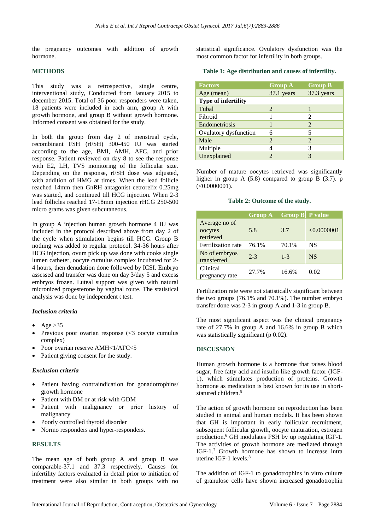the pregnancy outcomes with addition of growth hormone.

#### **METHODS**

This study was a retrospective, single centre, interventional study, Conducted from January 2015 to december 2015. Total of 36 poor responders were taken, 18 patients were included in each arm, group A with growth hormone, and group B without growth hormone. Informed consent was obtained for the study.

In both the group from day 2 of menstrual cycle, recombinant FSH (rFSH) 300-450 IU was started according to the age, BMI, AMH, AFC, and prior response. Patient reviewed on day 8 to see the response with E2, LH, TVS monitoring of the follicular size. Depending on the response, rFSH dose was adjusted, with addition of HMG at times. When the lead follicle reached 14mm then GnRH antagonist cetrorelix 0.25mg was started, and continued till HCG injection. When 2-3 lead follicles reached 17-18mm injection rHCG 250-500 micro grams was given subcutaneous.

In group A injection human growth hormone 4 IU was included in the protocol described above from day 2 of the cycle when stimulation begins till HCG. Group B nothing was added to regular protocol. 34-36 hours after HCG injection, ovum pick up was done with cooks single lumen catheter, oocyte cumulus complex incubated for 2- 4 hours, then denudation done followed by ICSI. Embryo assessed and transfer was done on day 3/day 5 and excess embryos frozen. Luteal support was given with natural micronized progesterone by vaginal route. The statistical analysis was done by independent t test.

#### *Inclusion criteria*

- Age  $>35$
- Previous poor ovarian response  $\langle \langle 3 \rangle$  oocyte cumulus complex)
- Poor ovarian reserve AMH<1/AFC<5
- Patient giving consent for the study.

#### *Exclusion criteria*

- Patient having contraindication for gonadotrophins/ growth hormone
- Patient with DM or at risk with GDM
- Patient with malignancy or prior history of malignancy
- Poorly controlled thyroid disorder
- Normo responders and hyper-responders.

#### **RESULTS**

The mean age of both group A and group B was comparable-37.1 and 37.3 respectively. Causes for infertility factors evaluated in detail prior to initiation of treatment were also similar in both groups with no

statistical significance. Ovulatory dysfunction was the most common factor for infertility in both groups.

**Table 1: Age distribution and causes of infertility.**

| <b>Factors</b>        | <b>Group A</b> | <b>Group B</b> |
|-----------------------|----------------|----------------|
| Age (mean)            | 37.1 years     | 37.3 years     |
| Type of infertility   |                |                |
| Tubal                 | 2              |                |
| Fibroid               |                | $\mathfrak{D}$ |
| Endometriosis         |                | 2              |
| Ovulatory dysfunction | 6              | 5              |
| Male                  | 2              | 2              |
| Multiple              |                |                |
| Unexplained           |                |                |

Number of mature oocytes retrieved was significantly higher in group A (5.8) compared to group B (3.7). p  $(<0.0000001$ ).

#### **Table 2: Outcome of the study.**

|                                       | <b>Group A</b> | <b>Group B</b> P value |             |
|---------------------------------------|----------------|------------------------|-------------|
| Average no of<br>oocytes<br>retrieved | 5.8            | 3.7                    | < 0.0000001 |
| Fertilization rate                    | 76.1%          | 70.1%                  | NS          |
| No of embryos<br>transferred          | $2 - 3$        | $1 - 3$                | NS.         |
| Clinical<br>pregnancy rate            | 27.7%          | 16.6%                  | 0.02        |

Fertilization rate were not statistically significant between the two groups (76.1% and 70.1%). The number embryo transfer done was 2-3 in group A and 1-3 in group B.

The most significant aspect was the clinical pregnancy rate of 27.7% in group A and 16.6% in group B which was statistically significant (p 0.02).

#### **DISCUSSION**

Human growth hormone is a hormone that raises blood sugar, free fatty acid and insulin like growth factor (IGF-1), which stimulates production of proteins. Growth hormone as medication is best known for its use in shortstatured children.<sup>5</sup>

The action of growth hormone on reproduction has been studied in animal and human models. It has been shown that GH is important in early follicular recruitment, subsequent follicular growth, oocyte maturation, estrogen production.<sup>6</sup> GH modulates FSH by up regulating IGF-1. The activities of growth hormone are mediated through IGF-1.<sup>7</sup> Growth hormone has shown to increase intra uterine IGF-1 levels.<sup>8</sup>

The addition of IGF-1 to gonadotrophins in vitro culture of granulose cells have shown increased gonadotrophin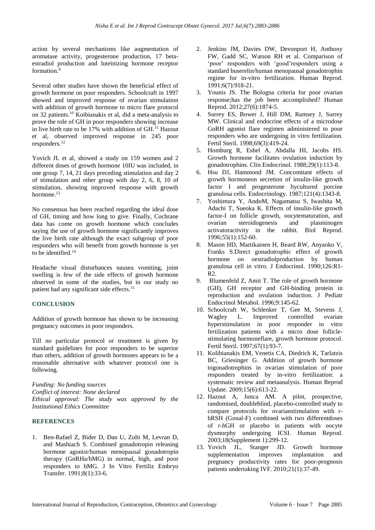action by several mechanisms like augmentation of aromatase activity, progesterone production, 17 betaestradiol production and luteinizing hormone receptor formation.<sup>9</sup>

Several other studies have shown the beneficial effect of growth hormone on poor responders. Schoolcraft in 1997 showed and improved response of ovarian stimulation with addition of growth hormone to micro flare protocol on 32 patients.<sup>10</sup> Koibianakis et al, did a meta-analysis to prove the role of GH in poor responders showing increase in live birth rate to be  $17\%$  with addition of GH.<sup>11</sup> Hazout et al, observed improved response in 245 poor responders.<sup>12</sup>

Yovich JL et al, showed a study on 159 women and 2 different doses of growth hormone 10IU was included, in one group 7, 14, 21 days preceding stimulation and day 2 of stimulation and other group with day 2, 6, 8, 10 of stimulation, showing improved response with growth hormone.<sup>13</sup>

No consensus has been reached regarding the ideal dose of GH, timing and how long to give. Finally, Cochrane data has come on growth hormone which concludes saying the use of growth hormone significantly improves the live birth rate although the exact subgroup of poor responders who will benefit from growth hormone is yet to be identified.<sup>14</sup>

Headache visual disturbances nausea vomiting, joint swelling is few of the side effects of growth hormone observed in some of the studies, but in our study no patient had any significant side effects.<sup>15</sup>

### **CONCLUSION**

Addition of growth hormone has shown to be increasing pregnancy outcomes in poor responders.

Till no particular protocol or treatment is given by standard guidelines for poor responders to be superior than others, addition of growth hormones appears to be a reasonable alternative with whatever protocol one is following.

*Funding: No funding sources Conflict of interest: None declared Ethical approval: The study was approved by the Institutional Ethics Committee*

#### **REFERENCES**

1. Ben-Rafael Z, Bider D, Dan U, Zolti M, Levran D, and Mashiach S. Combined gonadotropin releasing hormone agonist/human menopausal gonadotropin therapy (GnRHa/hMG) in normal, high, and poor responders to hMG. J In Vitro Fertiliz Embryo Transfer. 1991;8(1):33-6.

- 2. Jenkins JM, Davies DW, Devonport H, Anthony FW, Gadd SC, Watson RH et al. Comparison of 'poor' responders with 'good'responders using a standard buserelin/human menopausal gonadotrophin regime for in-vitro fertilization. Human Reprod. 1991;6(7):918-21.
- 3. Younis JS. The Bologna criteria for poor ovarian response;has the job been accomplished? Human Reprod. 2012;27(6):1874-5.
- 4. Surrey ES, Bower J, Hill DM, Ramsey J, Surrey MW. Clinical and endocrine effects of a microdose GnRH agonist flare regimen administered to poor responders who are undergoing in vitro fertilization. Fertil Steril. 1998;69(3):419-24.
- 5. Homburg R, Eshel A, Abdalla HI, Jacobs HS. Growth hormone facilitates ovulation induction by gonadotrophins. Clin Endocrinol. 1988;29(1):113-8.
- 6. Hsu DJ, Hammond JM. Concomitant effects of growth hormoneon secretion of insulin-like growth factor I and progesterone bycultured porcine granulosa cells. Endocrinology. 1987;121(4):1343-8.
- 7. Yoshimura Y, AndoM, Nagamatsu S, Iwashita M, Adachi T, Sueoka K. Effects of insulin-like growth factor-I on follicle growth, oocytematuration, and ovarian steroidogenesis and plasminogen activatoractivity in the rabbit. Biol Reprod. 1996;55(1):152-60.
- 8. Mason HD, Martikainen H, Beard RW, Anyaoku V, Franks S.Direct gonadotrophic effect of growth hormone on oestradiolproduction by human granulosa cell in vitro. J Endocrinol. 1990;126:R1-  $R<sub>2</sub>$
- 9. Blumenfeld Z, Amit T. The role of growth hormone (GH), GH receptor and GH-binding protein in reproduction and ovulation induction. J Pediatr Endocrinol Metabol. 1996;9:145-62.
- 10. Schoolcraft W, Schlenker T, Gee M, Stevens J, Wagley L. Improved controlled ovarian hyperstimulation in poor responder in vitro fertilization patients with a micro dose folliclestimulating hormoneflare, growth hormone protocol. Fertil Steril. 1997;67(1):93-7.
- 11. Kolibianakis EM, Venetis CA, Diedrich K, Tarlatzis BC, Griesinger G. Addition of growth hormone togonadotrophins in ovarian stimulation of poor responders treated by in-vitro fertilization: a systematic review and metaanalysis. Human Reprod Update. 2009;15(6):613-22.
- 12. Hazout A, Junca AM. A pilot, prospective, randomised, doubleblind, placebo-controlled study to compare protocols for ovarianstimulation with rhRSH (Gonal-F) combined with two differentdoses of r-hGH or placebo in patients with oocyte dysmorphy undergoing ICSI. Human Reprod. 2003;18(Supplement 1):299-12.
- 13. Yovich JL, Stanger JD. Growth hormone supplementation improves implantation and pregnancy productivity rates for poor-prognosis patients undertaking IVF. 2010;21(1):37-49.